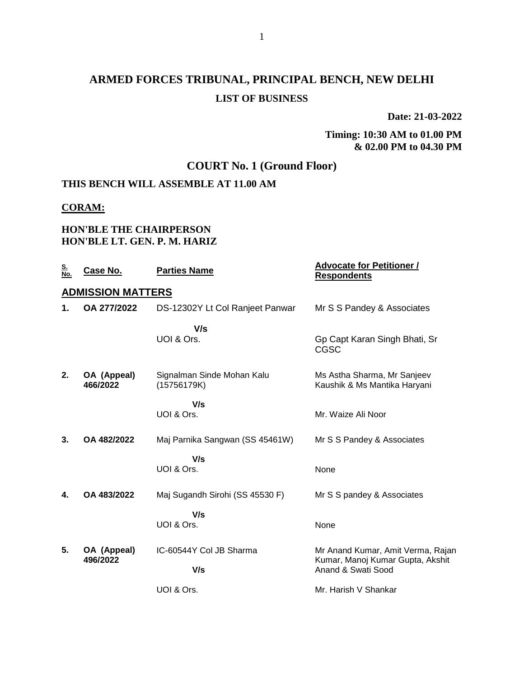# **ARMED FORCES TRIBUNAL, PRINCIPAL BENCH, NEW DELHI LIST OF BUSINESS**

**Date: 21-03-2022**

**Timing: 10:30 AM to 01.00 PM & 02.00 PM to 04.30 PM**

## **COURT No. 1 (Ground Floor)**

## **THIS BENCH WILL ASSEMBLE AT 11.00 AM**

#### **CORAM:**

#### **HON'BLE THE CHAIRPERSON HON'BLE LT. GEN. P. M. HARIZ**

| Case No.                | <b>Parties Name</b>                       | <b>Advocate for Petitioner /</b><br><b>Respondents</b>      |
|-------------------------|-------------------------------------------|-------------------------------------------------------------|
|                         |                                           |                                                             |
| OA 277/2022             | DS-12302Y Lt Col Ranjeet Panwar           | Mr S S Pandey & Associates                                  |
|                         | V/s                                       |                                                             |
|                         | UOI & Ors.                                | Gp Capt Karan Singh Bhati, Sr<br>CGSC                       |
| OA (Appeal)<br>466/2022 | Signalman Sinde Mohan Kalu<br>(15756179K) | Ms Astha Sharma, Mr Sanjeev<br>Kaushik & Ms Mantika Haryani |
|                         | V/s<br>UOI & Ors.                         | Mr. Waize Ali Noor                                          |
| OA 482/2022             | Maj Parnika Sangwan (SS 45461W)           | Mr S S Pandey & Associates                                  |
|                         | V/s                                       |                                                             |
|                         | UOI & Ors.                                | None                                                        |
| OA 483/2022             | Maj Sugandh Sirohi (SS 45530 F)           | Mr S S pandey & Associates                                  |
|                         | V/s                                       |                                                             |
|                         |                                           | None                                                        |
| OA (Appeal)             | IC-60544Y Col JB Sharma                   | Mr Anand Kumar, Amit Verma, Rajan                           |
|                         | V/s                                       | Kumar, Manoj Kumar Gupta, Akshit<br>Anand & Swati Sood      |
|                         | UOI & Ors.                                | Mr. Harish V Shankar                                        |
|                         | 496/2022                                  | <b>ADMISSION MATTERS</b><br>UOI & Ors.                      |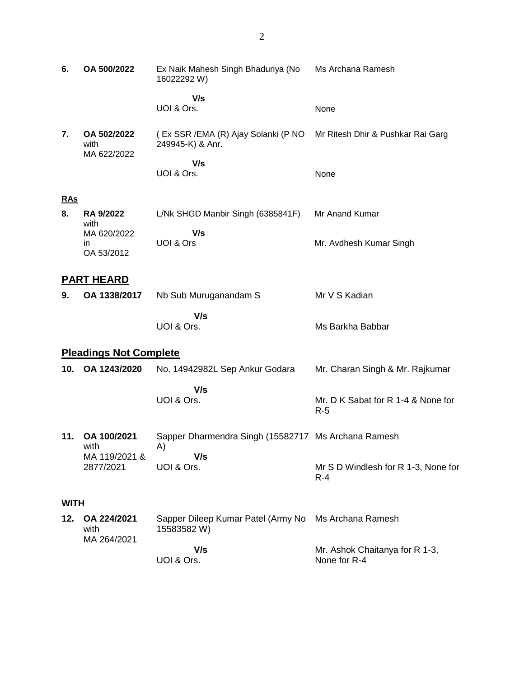| 6.          | OA 500/2022                        | Ex Naik Mahesh Singh Bhaduriya (No<br>16022292 W)         | Ms Archana Ramesh                              |
|-------------|------------------------------------|-----------------------------------------------------------|------------------------------------------------|
|             |                                    | V/s<br>UOI & Ors.                                         | None                                           |
| 7.          | OA 502/2022<br>with<br>MA 622/2022 | (Ex SSR /EMA (R) Ajay Solanki (P NO<br>249945-K) & Anr.   | Mr Ritesh Dhir & Pushkar Rai Garg              |
|             |                                    | V/s<br>UOI & Ors.                                         | None                                           |
| RAs         |                                    |                                                           |                                                |
| 8.          | <b>RA 9/2022</b><br>with           | L/Nk SHGD Manbir Singh (6385841F)                         | Mr Anand Kumar                                 |
|             | MA 620/2022<br>in<br>OA 53/2012    | V/s<br>UOI & Ors                                          | Mr. Avdhesh Kumar Singh                        |
|             | <b>PART HEARD</b>                  |                                                           |                                                |
| 9.          | OA 1338/2017                       | Nb Sub Muruganandam S                                     | Mr V S Kadian                                  |
|             |                                    | V/s<br>UOI & Ors.                                         | Ms Barkha Babbar                               |
|             | <b>Pleadings Not Complete</b>      |                                                           |                                                |
| 10.         | OA 1243/2020                       | No. 14942982L Sep Ankur Godara                            | Mr. Charan Singh & Mr. Rajkumar                |
|             |                                    | V/s<br>UOI & Ors.                                         | Mr. D K Sabat for R 1-4 & None for<br>$R-5$    |
| 11.         | OA 100/2021<br>with                | Sapper Dharmendra Singh (15582717 Ms Archana Ramesh<br>A) |                                                |
|             | MA 119/2021 &<br>2877/2021         | V/s<br>UOI & Ors.                                         | Mr S D Windlesh for R 1-3, None for<br>$R - 4$ |
| <b>WITH</b> |                                    |                                                           |                                                |
| 12.         | OA 224/2021<br>with                | Sapper Dileep Kumar Patel (Army No<br>15583582W)          | Ms Archana Ramesh                              |
|             | MA 264/2021                        | V/s<br>UOI & Ors.                                         | Mr. Ashok Chaitanya for R 1-3,<br>None for R-4 |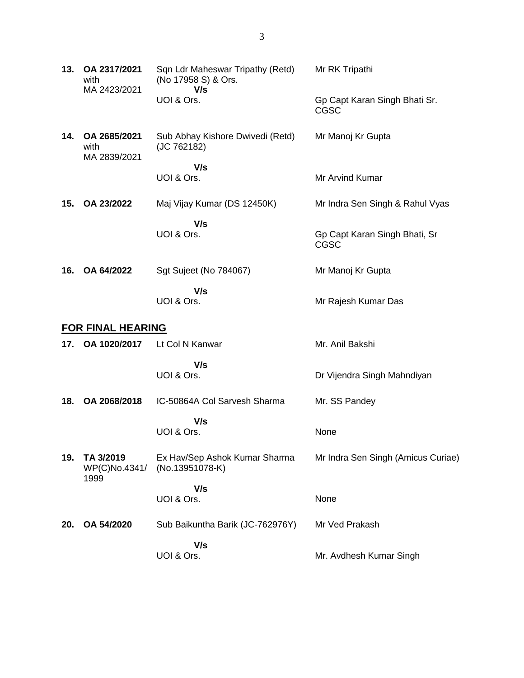| 13. | OA 2317/2021<br>with<br>MA 2423/2021 | Sqn Ldr Maheswar Tripathy (Retd)<br>(No 17958 S) & Ors.<br>V/s | Mr RK Tripathi                               |
|-----|--------------------------------------|----------------------------------------------------------------|----------------------------------------------|
|     |                                      | UOI & Ors.                                                     | Gp Capt Karan Singh Bhati Sr.<br><b>CGSC</b> |
| 14. | OA 2685/2021<br>with<br>MA 2839/2021 | Sub Abhay Kishore Dwivedi (Retd)<br>(JC 762182)                | Mr Manoj Kr Gupta                            |
|     |                                      | V/s                                                            |                                              |
|     |                                      | UOI & Ors.                                                     | Mr Arvind Kumar                              |
| 15. | OA 23/2022                           | Maj Vijay Kumar (DS 12450K)                                    | Mr Indra Sen Singh & Rahul Vyas              |
|     |                                      | V/s                                                            |                                              |
|     |                                      | UOI & Ors.                                                     | Gp Capt Karan Singh Bhati, Sr<br><b>CGSC</b> |
| 16. | OA 64/2022                           | Sgt Sujeet (No 784067)                                         | Mr Manoj Kr Gupta                            |
|     |                                      | V/s<br>UOI & Ors.                                              | Mr Rajesh Kumar Das                          |
|     | <b>FOR FINAL HEARING</b>             |                                                                |                                              |
| 17. | OA 1020/2017                         | Lt Col N Kanwar                                                | Mr. Anil Bakshi                              |
|     |                                      | V/s                                                            |                                              |
|     |                                      | UOI & Ors.                                                     | Dr Vijendra Singh Mahndiyan                  |
| 18. | OA 2068/2018                         | IC-50864A Col Sarvesh Sharma                                   | Mr. SS Pandey                                |
|     |                                      | V/s<br>UOI & Ors.                                              | None                                         |
|     |                                      |                                                                |                                              |
| 19. | TA 3/2019<br>WP(C)No.4341/           | Ex Hav/Sep Ashok Kumar Sharma<br>(No.13951078-K)               | Mr Indra Sen Singh (Amicus Curiae)           |
|     | 1999                                 |                                                                |                                              |
|     |                                      | V/s                                                            |                                              |
|     |                                      | UOI & Ors.                                                     | None                                         |
| 20. | OA 54/2020                           | Sub Baikuntha Barik (JC-762976Y)                               | Mr Ved Prakash                               |
|     |                                      | V/s<br>UOI & Ors.                                              | Mr. Avdhesh Kumar Singh                      |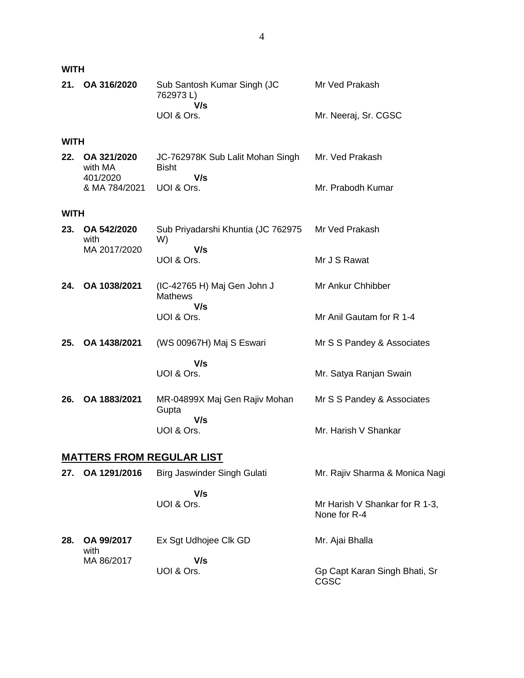**WITH**

| 21. OA 316/2020 | Sub Santosh Kumar Singh (JC<br>762973L) | Mr Ved Prakash       |
|-----------------|-----------------------------------------|----------------------|
|                 | V/s                                     |                      |
|                 | UOI & Ors.                              | Mr. Neeraj, Sr. CGSC |

#### **WITH**

| 22. OA 321/2020<br>with MA | JC-762978K Sub Lalit Mohan Singh<br><b>Bisht</b> | Mr. Ved Prakash   |
|----------------------------|--------------------------------------------------|-------------------|
| 401/2020                   | V/s                                              |                   |
| & MA 784/2021              | UOL& Ors.                                        | Mr. Prabodh Kumar |

#### **WITH**

| 23. OA 542/2020<br>with | Sub Priyadarshi Khuntia (JC 762975 Mr Ved Prakash<br>W) |              |
|-------------------------|---------------------------------------------------------|--------------|
| MA 2017/2020            | V/s<br>UOI & Ors.                                       | Mr J S Rawat |

- **24. OA 1038/2021** (IC-42765 H) Maj Gen John J **Mathews V/s** UOI & Ors. Mr Ankur Chhibber Mr Anil Gautam for R 1-4
- **25. OA 1438/2021** (WS 00967H) Maj S Eswari  **V/s** UOI & Ors. Mr S S Pandey & Associates Mr. Satya Ranjan Swain
- **26. OA 1883/2021** MR-04899X Maj Gen Rajiv Mohan **Gupta V/s** UOI & Ors. Mr S S Pandey & Associates Mr. Harish V Shankar

## **MATTERS FROM REGULAR LIST**

| 27. | OA 1291/2016       | Birg Jaswinder Singh Gulati | Mr. Rajiv Sharma & Monica Nagi                 |
|-----|--------------------|-----------------------------|------------------------------------------------|
|     |                    | V/s<br>UOI & Ors.           | Mr Harish V Shankar for R 1-3,<br>None for R-4 |
| 28. | OA 99/2017<br>with | Ex Sgt Udhojee Clk GD       | Mr. Ajai Bhalla                                |
|     | MA 86/2017         | V/s<br>UOI & Ors.           | Gp Capt Karan Singh Bhati, Sr<br>CGSC          |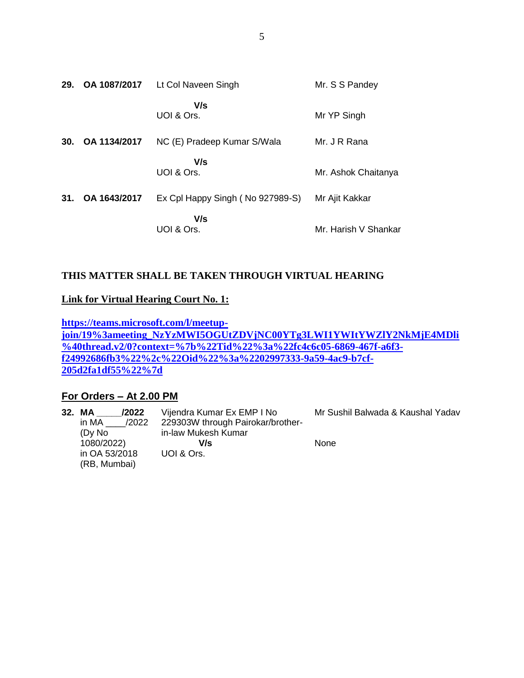| 29. | OA 1087/2017 | Lt Col Naveen Singh              | Mr. S S Pandey       |
|-----|--------------|----------------------------------|----------------------|
|     |              | V/s<br>UOI & Ors.                | Mr YP Singh          |
| 30. | OA 1134/2017 | NC (E) Pradeep Kumar S/Wala      | Mr. J R Rana         |
|     |              | V/s<br>UOI & Ors.                | Mr. Ashok Chaitanya  |
| 31. | OA 1643/2017 | Ex Cpl Happy Singh (No 927989-S) | Mr Ajit Kakkar       |
|     |              | V/s<br>UOI & Ors.                | Mr. Harish V Shankar |

## **THIS MATTER SHALL BE TAKEN THROUGH VIRTUAL HEARING**

#### **Link for Virtual Hearing Court No. 1:**

**[https://teams.microsoft.com/l/meetup](https://teams.microsoft.com/l/meetup-join/19%3ameeting_NzYzMWI5OGUtZDVjNC00YTg3LWI1YWItYWZlY2NkMjE4MDli%40thread.v2/0?context=%7b%22Tid%22%3a%22fc4c6c05-6869-467f-a6f3-f24992686fb3%22%2c%22Oid%22%3a%2202997333-9a59-4ac9-b7cf-205d2fa1df55%22%7d)[join/19%3ameeting\\_NzYzMWI5OGUtZDVjNC00YTg3LWI1YWItYWZlY2NkMjE4MDli](https://teams.microsoft.com/l/meetup-join/19%3ameeting_NzYzMWI5OGUtZDVjNC00YTg3LWI1YWItYWZlY2NkMjE4MDli%40thread.v2/0?context=%7b%22Tid%22%3a%22fc4c6c05-6869-467f-a6f3-f24992686fb3%22%2c%22Oid%22%3a%2202997333-9a59-4ac9-b7cf-205d2fa1df55%22%7d) [%40thread.v2/0?context=%7b%22Tid%22%3a%22fc4c6c05-6869-467f-a6f3](https://teams.microsoft.com/l/meetup-join/19%3ameeting_NzYzMWI5OGUtZDVjNC00YTg3LWI1YWItYWZlY2NkMjE4MDli%40thread.v2/0?context=%7b%22Tid%22%3a%22fc4c6c05-6869-467f-a6f3-f24992686fb3%22%2c%22Oid%22%3a%2202997333-9a59-4ac9-b7cf-205d2fa1df55%22%7d) [f24992686fb3%22%2c%22Oid%22%3a%2202997333-9a59-4ac9-b7cf-](https://teams.microsoft.com/l/meetup-join/19%3ameeting_NzYzMWI5OGUtZDVjNC00YTg3LWI1YWItYWZlY2NkMjE4MDli%40thread.v2/0?context=%7b%22Tid%22%3a%22fc4c6c05-6869-467f-a6f3-f24992686fb3%22%2c%22Oid%22%3a%2202997333-9a59-4ac9-b7cf-205d2fa1df55%22%7d)[205d2fa1df55%22%7d](https://teams.microsoft.com/l/meetup-join/19%3ameeting_NzYzMWI5OGUtZDVjNC00YTg3LWI1YWItYWZlY2NkMjE4MDli%40thread.v2/0?context=%7b%22Tid%22%3a%22fc4c6c05-6869-467f-a6f3-f24992686fb3%22%2c%22Oid%22%3a%2202997333-9a59-4ac9-b7cf-205d2fa1df55%22%7d)**

## **For Orders – At 2.00 PM**

| /2022          | Vijendra Kumar Ex EMP I No        | Mr Sushil Balwada & Kaushal Yadav |
|----------------|-----------------------------------|-----------------------------------|
| in MA<br>/2022 | 229303W through Pairokar/brother- |                                   |
| (Dy No         | in-law Mukesh Kumar               |                                   |
| 1080/2022)     | V/s                               | None                              |
| in OA 53/2018  | UOI & Ors.                        |                                   |
| (RB, Mumbai)   |                                   |                                   |
|                | 32. MA                            |                                   |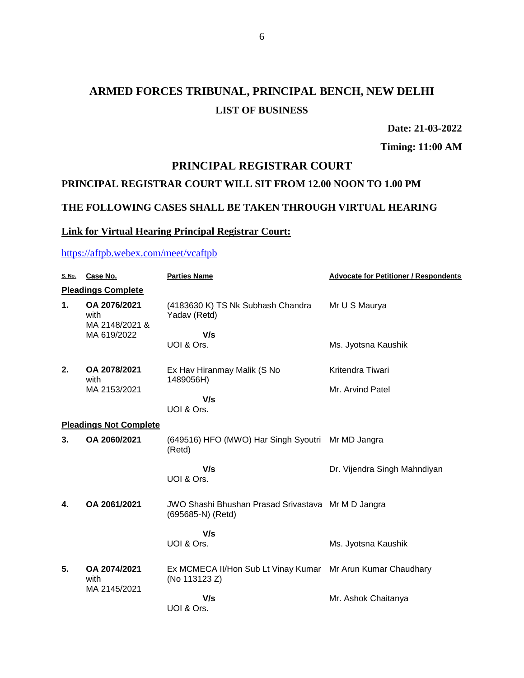# **ARMED FORCES TRIBUNAL, PRINCIPAL BENCH, NEW DELHI LIST OF BUSINESS**

**Date: 21-03-2022**

**Timing: 11:00 AM**

## **PRINCIPAL REGISTRAR COURT**

#### **PRINCIPAL REGISTRAR COURT WILL SIT FROM 12.00 NOON TO 1.00 PM**

# **THE FOLLOWING CASES SHALL BE TAKEN THROUGH VIRTUAL HEARING**

#### **Link for Virtual Hearing Principal Registrar Court:**

## <https://aftpb.webex.com/meet/vcaftpb>

| <u>S. No.</u> | Case No.                               | <b>Parties Name</b>                                                          | <b>Advocate for Petitioner / Respondents</b> |
|---------------|----------------------------------------|------------------------------------------------------------------------------|----------------------------------------------|
|               | <b>Pleadings Complete</b>              |                                                                              |                                              |
| 1.            | OA 2076/2021<br>with<br>MA 2148/2021 & | (4183630 K) TS Nk Subhash Chandra<br>Yadav (Retd)                            | Mr U S Maurya                                |
|               | MA 619/2022                            | V/s                                                                          |                                              |
|               |                                        | UOI & Ors.                                                                   | Ms. Jyotsna Kaushik                          |
| 2.            | OA 2078/2021<br>with                   | Ex Hav Hiranmay Malik (S No<br>1489056H)                                     | Kritendra Tiwari                             |
|               | MA 2153/2021                           |                                                                              | Mr. Arvind Patel                             |
|               |                                        | V/s<br>UOI & Ors.                                                            |                                              |
|               | <b>Pleadings Not Complete</b>          |                                                                              |                                              |
| 3.            | OA 2060/2021                           | (649516) HFO (MWO) Har Singh Syoutri<br>(Retd)                               | Mr MD Jangra                                 |
|               |                                        | V/s<br>UOI & Ors.                                                            | Dr. Vijendra Singh Mahndiyan                 |
| 4.            | OA 2061/2021                           | JWO Shashi Bhushan Prasad Srivastava Mr M D Jangra<br>(695685-N) (Retd)      |                                              |
|               |                                        | V/s                                                                          |                                              |
|               |                                        | UOI & Ors.                                                                   | Ms. Jyotsna Kaushik                          |
| 5.            | OA 2074/2021<br>with<br>MA 2145/2021   | Ex MCMECA II/Hon Sub Lt Vinay Kumar Mr Arun Kumar Chaudhary<br>(No 113123 Z) |                                              |
|               |                                        | V/s<br>UOI & Ors.                                                            | Mr. Ashok Chaitanya                          |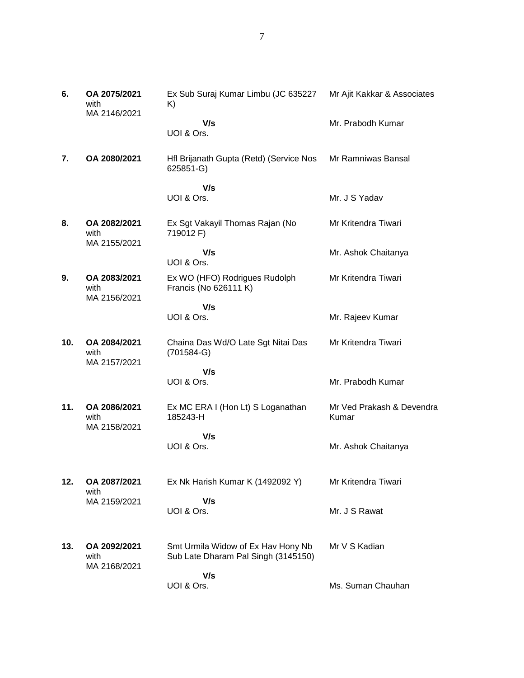| 6.  | OA 2075/2021<br>with<br>MA 2146/2021 | Ex Sub Suraj Kumar Limbu (JC 635227<br>K)              | Mr Ajit Kakkar & Associates        |
|-----|--------------------------------------|--------------------------------------------------------|------------------------------------|
|     |                                      | V/s<br>UOI & Ors.                                      | Mr. Prabodh Kumar                  |
| 7.  | OA 2080/2021                         | Hfl Brijanath Gupta (Retd) (Service Nos<br>625851-G)   | Mr Ramniwas Bansal                 |
|     |                                      | V/s                                                    |                                    |
|     |                                      | UOI & Ors.                                             | Mr. J S Yadav                      |
| 8.  | OA 2082/2021<br>with<br>MA 2155/2021 | Ex Sgt Vakayil Thomas Rajan (No<br>719012 F)           | Mr Kritendra Tiwari                |
|     |                                      | V/s<br>UOI & Ors.                                      | Mr. Ashok Chaitanya                |
| 9.  | OA 2083/2021<br>with<br>MA 2156/2021 | Ex WO (HFO) Rodrigues Rudolph<br>Francis (No 626111 K) | Mr Kritendra Tiwari                |
|     |                                      | V/s                                                    |                                    |
|     |                                      | UOI & Ors.                                             | Mr. Rajeev Kumar                   |
| 10. | OA 2084/2021<br>with<br>MA 2157/2021 | Chaina Das Wd/O Late Sgt Nitai Das<br>$(701584-G)$     | Mr Kritendra Tiwari                |
|     |                                      | V/s                                                    |                                    |
|     |                                      | UOI & Ors.                                             | Mr. Prabodh Kumar                  |
| 11. | OA 2086/2021<br>with<br>MA 2158/2021 | Ex MC ERA I (Hon Lt) S Loganathan<br>185243-H          | Mr Ved Prakash & Devendra<br>Kumar |
|     |                                      | V/s                                                    |                                    |
|     |                                      | UOI & Ors.                                             | Mr. Ashok Chaitanya                |
| 12. | OA 2087/2021<br>with                 | Ex Nk Harish Kumar K (1492092 Y)                       | Mr Kritendra Tiwari                |
|     | MA 2159/2021                         | V/s                                                    |                                    |
|     |                                      | UOI & Ors.                                             | Mr. J S Rawat                      |
| 13. | OA 2092/2021                         | Smt Urmila Widow of Ex Hav Hony Nb                     | Mr V S Kadian                      |
|     | with<br>MA 2168/2021                 | Sub Late Dharam Pal Singh (3145150)                    |                                    |
|     |                                      | V/s                                                    |                                    |
|     |                                      | UOI & Ors.                                             | Ms. Suman Chauhan                  |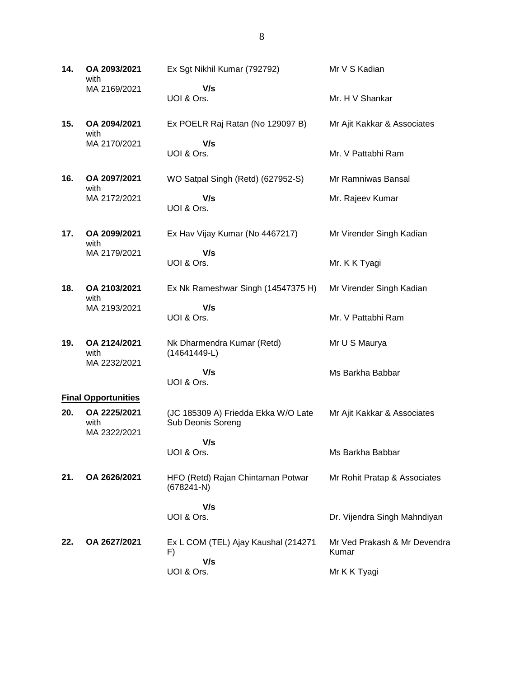**14. OA 2093/2021** with MA 2169/2021 Ex Sgt Nikhil Kumar (792792)  **V/s** UOI & Ors. Mr V S Kadian Mr. H V Shankar

**15. OA 2094/2021** with MA 2170/2021 Ex POELR Raj Ratan (No 129097 B)  **V/s** UOI & Ors. Mr Ajit Kakkar & Associates Mr. V Pattabhi Ram

WO Satpal Singh (Retd) (627952-S)

**16. OA 2097/2021** with MA 2172/2021

 **V/s** UOI & Ors.

**17. OA 2099/2021** with MA 2179/2021 Ex Hav Vijay Kumar (No 4467217)

 **V/s** UOI & Ors.

**18. OA 2103/2021** with MA 2193/2021 Ex Nk Rameshwar Singh (14547375 H)

 **V/s** UOI & Ors.

**19. OA 2124/2021** with MA 2232/2021 Nk Dharmendra Kumar (Retd) (14641449-L)

> **V/s** UOI & Ors.

#### **Final Opportunities**

**20. OA 2225/2021** with MA 2322/2021 (JC 185309 A) Friedda Ekka W/O Late Sub Deonis Soreng  **V/s** Mr Ajit Kakkar & Associates

UOI & Ors.

**21. OA 2626/2021** HFO (Retd) Rajan Chintaman Potwar (678241-N)  **V/s** Mr Rohit Pratap & Associates

UOI & Ors. **22. OA 2627/2021** Ex L COM (TEL) Ajay Kaushal (214271

UOI & Ors.

 **V/s**

F)

Mr Ramniwas Bansal

Mr. Rajeev Kumar

Mr Virender Singh Kadian

Mr. K K Tyagi

Mr Virender Singh Kadian

Mr. V Pattabhi Ram

Mr U S Maurya

Ms Barkha Babbar

Ms Barkha Babbar

Mr Ved Prakash & Mr Devendra Kumar

Dr. Vijendra Singh Mahndiyan

Mr K K Tyagi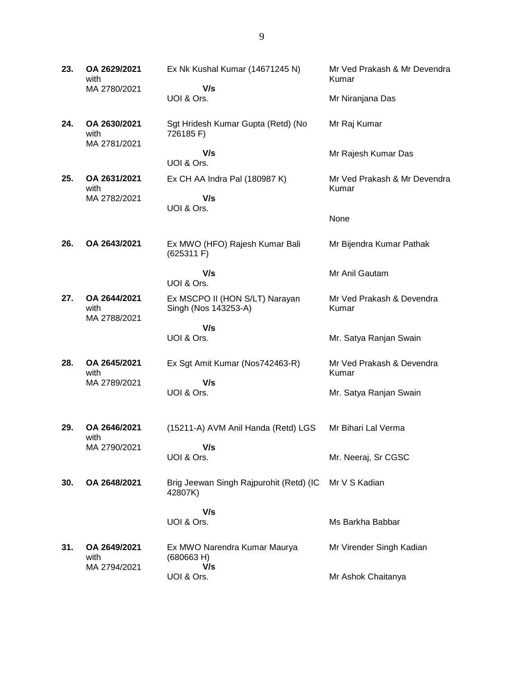| 23. | OA 2629/2021<br>with                 | Ex Nk Kushal Kumar (14671245 N)                        | Mr Ved Prakash & Mr Devendra<br>Kumar |
|-----|--------------------------------------|--------------------------------------------------------|---------------------------------------|
|     | MA 2780/2021                         | V/s<br>UOI & Ors.                                      | Mr Niranjana Das                      |
| 24. | OA 2630/2021<br>with                 | Sgt Hridesh Kumar Gupta (Retd) (No<br>726185 F)        | Mr Raj Kumar                          |
|     | MA 2781/2021                         | V/s<br>UOI & Ors.                                      | Mr Rajesh Kumar Das                   |
| 25. | OA 2631/2021                         | Ex CH AA Indra Pal (180987 K)                          | Mr Ved Prakash & Mr Devendra          |
|     | with<br>MA 2782/2021                 | V/s<br>UOI & Ors.                                      | Kumar                                 |
|     |                                      |                                                        | None                                  |
| 26. | OA 2643/2021                         | Ex MWO (HFO) Rajesh Kumar Bali<br>(625311)             | Mr Bijendra Kumar Pathak              |
|     |                                      | V/s<br>UOI & Ors.                                      | Mr Anil Gautam                        |
| 27. | OA 2644/2021<br>with<br>MA 2788/2021 | Ex MSCPO II (HON S/LT) Narayan<br>Singh (Nos 143253-A) | Mr Ved Prakash & Devendra<br>Kumar    |
|     |                                      | V/s                                                    |                                       |
|     |                                      | UOI & Ors.                                             | Mr. Satya Ranjan Swain                |
| 28. | OA 2645/2021<br>with                 | Ex Sgt Amit Kumar (Nos742463-R)                        | Mr Ved Prakash & Devendra<br>Kumar    |
|     | MA 2789/2021                         | V/s<br>UOI & Ors.                                      | Mr. Satya Ranjan Swain                |
| 29. | OA 2646/2021                         | (15211-A) AVM Anil Handa (Retd) LGS                    | Mr Bihari Lal Verma                   |
|     | with<br>MA 2790/2021                 | V/s                                                    |                                       |
|     |                                      | UOI & Ors.                                             | Mr. Neeraj, Sr CGSC                   |
| 30. | OA 2648/2021                         | Brig Jeewan Singh Rajpurohit (Retd) (IC<br>42807K)     | Mr V S Kadian                         |
|     |                                      | V/s                                                    |                                       |
|     |                                      | UOI & Ors.                                             | Ms Barkha Babbar                      |
| 31. | OA 2649/2021<br>with<br>MA 2794/2021 | Ex MWO Narendra Kumar Maurya<br>(680663 H)<br>V/s      | Mr Virender Singh Kadian              |
|     |                                      | UOI & Ors.                                             | Mr Ashok Chaitanya                    |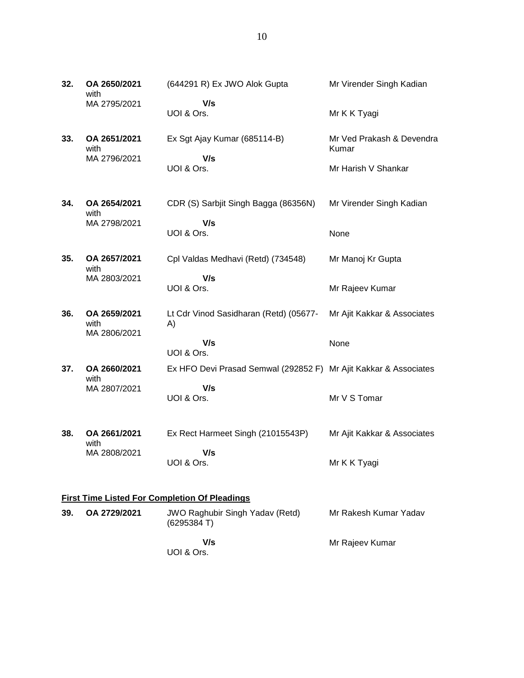- **32. OA 2650/2021** with MA 2795/2021 (644291 R) Ex JWO Alok Gupta  **V/s** UOI & Ors. Mr Virender Singh Kadian Mr K K Tyagi **33. OA 2651/2021** with MA 2796/2021 Ex Sgt Ajay Kumar (685114-B)  **V/s** UOI & Ors. Mr Ved Prakash & Devendra Kumar Mr Harish V Shankar **34. OA 2654/2021** with MA 2798/2021 CDR (S) Sarbjit Singh Bagga (86356N)  **V/s** UOI & Ors. Mr Virender Singh Kadian None **35. OA 2657/2021** with MA 2803/2021 Cpl Valdas Medhavi (Retd) (734548)  **V/s** UOI & Ors. Mr Manoj Kr Gupta Mr Rajeev Kumar **36. OA 2659/2021** with MA 2806/2021 Lt Cdr Vinod Sasidharan (Retd) (05677- A)  **V/s** UOI & Ors. Mr Ajit Kakkar & Associates None **37. OA 2660/2021** with MA 2807/2021 Ex HFO Devi Prasad Semwal (292852 F) Mr Ajit Kakkar & Associates  **V/s** UOI & Ors. Mr V S Tomar **38. OA 2661/2021** with MA 2808/2021 Ex Rect Harmeet Singh (21015543P)  **V/s** UOI & Ors. Mr Ajit Kakkar & Associates Mr K K Tyagi **First Time Listed For Completion Of Pleadings 39. OA 2729/2021** JWO Raghubir Singh Yadav (Retd) (6295384 T) Mr Rakesh Kumar Yadav
	- **V/s** UOI & Ors.

Mr Rajeev Kumar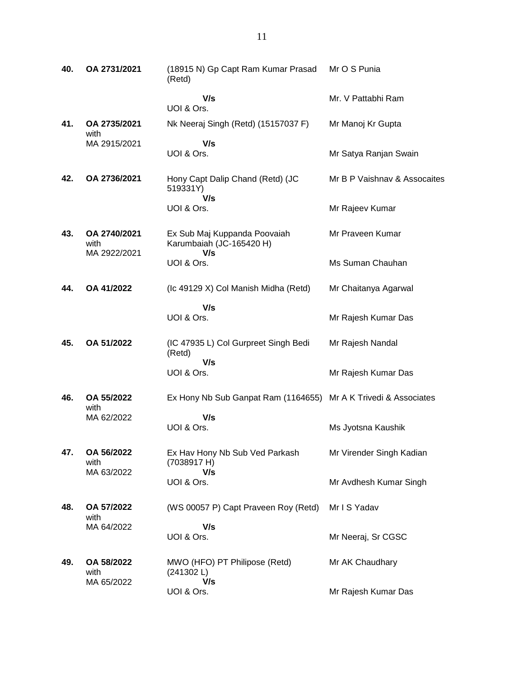| 40. | OA 2731/2021                         | (18915 N) Gp Capt Ram Kumar Prasad<br>(Retd)                    | Mr O S Punia                 |
|-----|--------------------------------------|-----------------------------------------------------------------|------------------------------|
|     |                                      | V/s<br>UOI & Ors.                                               | Mr. V Pattabhi Ram           |
| 41. | OA 2735/2021<br>with                 | Nk Neeraj Singh (Retd) (15157037 F)                             | Mr Manoj Kr Gupta            |
|     | MA 2915/2021                         | V/s<br>UOI & Ors.                                               | Mr Satya Ranjan Swain        |
| 42. | OA 2736/2021                         | Hony Capt Dalip Chand (Retd) (JC<br>519331Y)<br>V/s             | Mr B P Vaishnav & Assocaites |
|     |                                      | UOI & Ors.                                                      | Mr Rajeev Kumar              |
| 43. | OA 2740/2021<br>with<br>MA 2922/2021 | Ex Sub Maj Kuppanda Poovaiah<br>Karumbaiah (JC-165420 H)<br>V/s | Mr Praveen Kumar             |
|     |                                      | UOI & Ors.                                                      | Ms Suman Chauhan             |
| 44. | OA 41/2022                           | (Ic 49129 X) Col Manish Midha (Retd)                            | Mr Chaitanya Agarwal         |
|     |                                      | V/s<br>UOI & Ors.                                               | Mr Rajesh Kumar Das          |
| 45. | OA 51/2022                           | (IC 47935 L) Col Gurpreet Singh Bedi<br>(Retd)<br>V/s           | Mr Rajesh Nandal             |
|     |                                      | UOI & Ors.                                                      | Mr Rajesh Kumar Das          |
| 46. | OA 55/2022<br>with<br>MA 62/2022     | Ex Hony Nb Sub Ganpat Ram (1164655) Mr A K Trivedi & Associates |                              |
|     |                                      | V/s<br>UOI & Ors.                                               | Ms Jyotsna Kaushik           |
| 47. | OA 56/2022<br>with                   | Ex Hav Hony Nb Sub Ved Parkash<br>(7038917 H)                   | Mr Virender Singh Kadian     |
|     | MA 63/2022                           | V/s<br>UOI & Ors.                                               | Mr Avdhesh Kumar Singh       |
| 48. | OA 57/2022<br>with                   | (WS 00057 P) Capt Praveen Roy (Retd)                            | Mr I S Yadav                 |
|     | MA 64/2022                           | V/s<br>UOI & Ors.                                               | Mr Neeraj, Sr CGSC           |
| 49. | OA 58/2022<br>with<br>MA 65/2022     | MWO (HFO) PT Philipose (Retd)<br>(241302 L)<br>V/s              | Mr AK Chaudhary              |
|     |                                      | UOI & Ors.                                                      | Mr Rajesh Kumar Das          |